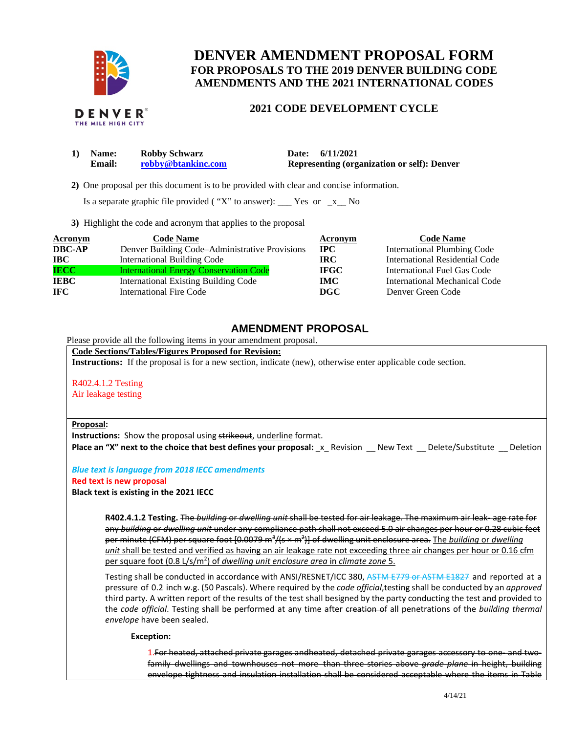

# **DENVER AMENDMENT PROPOSAL FORM FOR PROPOSALS TO THE 2019 DENVER BUILDING CODE AMENDMENTS AND THE 2021 INTERNATIONAL CODES**

### **2021 CODE DEVELOPMENT CYCLE**

| 1) Name:      | <b>Robby Schwarz</b> | 6/11/2021<br>Date:                                 |
|---------------|----------------------|----------------------------------------------------|
| <b>Email:</b> | robby@btankinc.com   | <b>Representing (organization or self): Denver</b> |

 **2)** One proposal per this document is to be provided with clear and concise information.

Is a separate graphic file provided ("X" to answer):  $\frac{\ }{2}$  Yes or  $\frac{\ }{2}$  No

**3)** Highlight the code and acronym that applies to the proposal

| <b>Acronym</b> | <b>Code Name</b>                               | Acronym     | <b>Code Name</b>                   |
|----------------|------------------------------------------------|-------------|------------------------------------|
| <b>DBC-AP</b>  | Denver Building Code–Administrative Provisions | $\bf{IPC}$  | <b>International Plumbing Code</b> |
| $\bf IBC$      | <b>International Building Code</b>             | IRC-        | International Residential Code     |
| <b>IECC</b>    | <b>International Energy Conservation Code</b>  | <b>IFGC</b> | International Fuel Gas Code        |
| <b>IEBC</b>    | International Existing Building Code           | <b>IMC</b>  | International Mechanical Code      |
| IFC.           | <b>International Fire Code</b>                 | <b>DGC</b>  | Denver Green Code                  |

## **AMENDMENT PROPOSAL**

Please provide all the following items in your amendment proposal.

#### **Code Sections/Tables/Figures Proposed for Revision:**

**Instructions:** If the proposal is for a new section, indicate (new), otherwise enter applicable code section.

R402.4.1.2 Testing Air leakage testing

#### **Proposal:**

**Instructions:** Show the proposal using strikeout, underline format. **Place an "X" next to the choice that best defines your proposal:** x Revision New Text Delete/Substitute Deletion

*Blue text is language from 2018 IECC amendments*  **Red text is new proposal** 

**Black text is existing in the 2021 IECC** 

**R402.4.1.2 Testing.** The *building* or *dwelling unit* shall be tested for air leakage. The maximum air leak- age rate for any *building* or *dwelling unit* under any compliance path shall not exceed 5.0 air changes per hour or 0.28 cubic feet per minute (CFM) per square foot [0.0079 m<sup>3</sup>/(s × m<sup>2</sup>)] of dwelling unit enclosure area. The *building* or *dwelling unit* shall be tested and verified as having an air leakage rate not exceeding three air changes per hour or 0.16 cfm per square foot (0.8 L/s/m<sup>2</sup>) of *dwelling unit enclosure area* in *climate zone* 5.

Testing shall be conducted in accordance with ANSI/RESNET/ICC 380, ASTM E779 or ASTM E1827 and reported at a pressure of 0.2 inch w.g. (50 Pascals). Where required by the *code official*, testing shall be conducted by an *approved*  third party. A written report of the results of the test shall be signed by the party conducting the test and provided to the *code official*. Testing shall be performed at any time after creation of all penetrations of the *building thermal envelope* have been sealed.

**Exception:** 

1. For heated, attached private garages and heated, detached private garages accessory to one- and twofamily dwellings and townhouses not more than three stories above *grade plane* in height, building envelope tightness and insulation installation shall be considered acceptable where the items in Table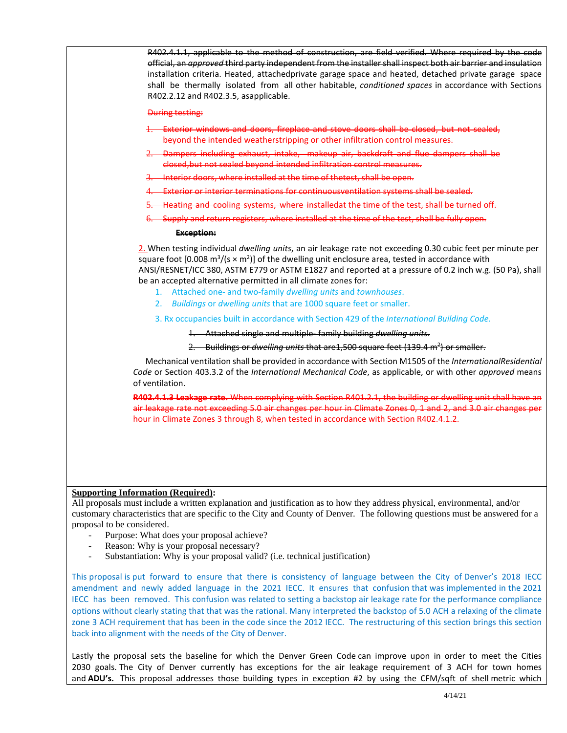| R402.4.1.1, applicable to the method of construction, are field verified. Where required by the code<br>official, an approved third party independent from the installer shall inspect both air barrier and insulation<br>installation criteria. Heated, attachedprivate garage space and heated, detached private garage space<br>shall be thermally isolated from all other habitable, conditioned spaces in accordance with Sections<br>R402.2.12 and R402.3.5, asapplicable.                                                                               |  |  |
|----------------------------------------------------------------------------------------------------------------------------------------------------------------------------------------------------------------------------------------------------------------------------------------------------------------------------------------------------------------------------------------------------------------------------------------------------------------------------------------------------------------------------------------------------------------|--|--|
| <b>During testing:</b>                                                                                                                                                                                                                                                                                                                                                                                                                                                                                                                                         |  |  |
| 1. Exterior windows and doors, fireplace and stove doors shall be closed, but not sealed,<br>beyond the intended weatherstripping or other infiltration control measures.                                                                                                                                                                                                                                                                                                                                                                                      |  |  |
| 2. Dampers including exhaust, intake, makeup air, backdraft and flue dampers shall be<br>closed, but not sealed beyond intended infiltration control measures.                                                                                                                                                                                                                                                                                                                                                                                                 |  |  |
| 3. Interior doors, where installed at the time of thetest, shall be open.                                                                                                                                                                                                                                                                                                                                                                                                                                                                                      |  |  |
| -Exterior or interior terminations for continuousventilation systems shall be sealed.                                                                                                                                                                                                                                                                                                                                                                                                                                                                          |  |  |
| 5. Heating and cooling systems, where installedat the time of the test, shall be turned off.                                                                                                                                                                                                                                                                                                                                                                                                                                                                   |  |  |
| 6. Supply and return registers, where installed at the time of the test, shall be fully open.                                                                                                                                                                                                                                                                                                                                                                                                                                                                  |  |  |
| <b>Exception:</b>                                                                                                                                                                                                                                                                                                                                                                                                                                                                                                                                              |  |  |
| 2. When testing individual dwelling units, an air leakage rate not exceeding 0.30 cubic feet per minute per<br>square foot [0.008 m <sup>3</sup> /(s × m <sup>2</sup> )] of the dwelling unit enclosure area, tested in accordance with<br>ANSI/RESNET/ICC 380, ASTM E779 or ASTM E1827 and reported at a pressure of 0.2 inch w.g. (50 Pa), shall<br>be an accepted alternative permitted in all climate zones for:<br>1. Attached one- and two-family dwelling units and townhouses.<br>2. Buildings or dwelling units that are 1000 square feet or smaller. |  |  |
| 3. Rx occupancies built in accordance with Section 429 of the International Building Code.                                                                                                                                                                                                                                                                                                                                                                                                                                                                     |  |  |
| 1. Attached single and multiple-family building dwelling units.                                                                                                                                                                                                                                                                                                                                                                                                                                                                                                |  |  |
| Buildings or dwelling units that are 1,500 square feet (139.4 m <sup>2</sup> ) or smaller.<br>$2-$                                                                                                                                                                                                                                                                                                                                                                                                                                                             |  |  |
| Mechanical ventilation shall be provided in accordance with Section M1505 of the InternationalResidential<br>Code or Section 403.3.2 of the International Mechanical Code, as applicable, or with other approved means<br>of ventilation.                                                                                                                                                                                                                                                                                                                      |  |  |
| R402.4.1.3 Leakage rate. When complying with Section R401.2.1, the building or dwelling unit shall have an                                                                                                                                                                                                                                                                                                                                                                                                                                                     |  |  |
| air leakage rate not exceeding 5.0 air changes per hour in Climate Zones 0, 1 and 2, and 3.0 air changes per<br>hour in Climate Zones 3 through 8, when tested in accordance with Section R402.4.1.2.                                                                                                                                                                                                                                                                                                                                                          |  |  |
|                                                                                                                                                                                                                                                                                                                                                                                                                                                                                                                                                                |  |  |
| <b>Supporting Information (Required):</b>                                                                                                                                                                                                                                                                                                                                                                                                                                                                                                                      |  |  |
| All proposals must include a written explanation and justification as to how they address physical, environmental, and/or<br>customary characteristics that are specific to the City and County of Denver. The following questions must be answered for a<br>proposal to be considered.<br>Purpose: What does your proposal achieve?<br>$\overline{\phantom{a}}$<br>Reason: Why is your proposal necessary?                                                                                                                                                    |  |  |
| Substantiation: Why is your proposal valid? (i.e. technical justification)                                                                                                                                                                                                                                                                                                                                                                                                                                                                                     |  |  |

This proposal is put forward to ensure that there is consistency of language between the City of Denver's 2018 IECC amendment and newly added language in the 2021 IECC. It ensures that confusion that was implemented in the 2021 IECC has been removed. This confusion was related to setting a backstop air leakage rate for the performance compliance options without clearly stating that that was the rational. Many interpreted the backstop of 5.0 ACH a relaxing of the climate zone 3 ACH requirement that has been in the code since the 2012 IECC. The restructuring of this section brings this section back into alignment with the needs of the City of Denver.

Lastly the proposal sets the baseline for which the Denver Green Code can improve upon in order to meet the Cities 2030 goals. The City of Denver currently has exceptions for the air leakage requirement of 3 ACH for town homes and **ADU's.** This proposal addresses those building types in exception #2 by using the CFM/sqft of shell metric which